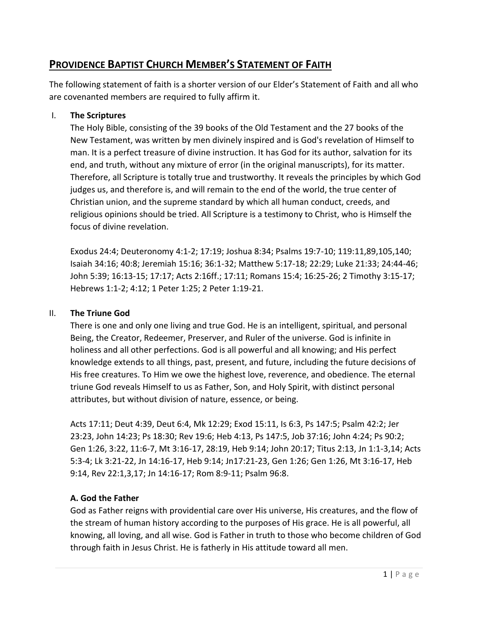## **PROVIDENCE BAPTIST CHURCH MEMBER'S STATEMENT OF FAITH**

The following statement of faith is a shorter version of our Elder's Statement of Faith and all who are covenanted members are required to fully affirm it.

## I. **The Scriptures**

The Holy Bible, consisting of the 39 books of the Old Testament and the 27 books of the New Testament, was written by men divinely inspired and is God's revelation of Himself to man. It is a perfect treasure of divine instruction. It has God for its author, salvation for its end, and truth, without any mixture of error (in the original manuscripts), for its matter. Therefore, all Scripture is totally true and trustworthy. It reveals the principles by which God judges us, and therefore is, and will remain to the end of the world, the true center of Christian union, and the supreme standard by which all human conduct, creeds, and religious opinions should be tried. All Scripture is a testimony to Christ, who is Himself the focus of divine revelation.

Exodus 24:4; Deuteronomy 4:1-2; 17:19; Joshua 8:34; Psalms 19:7-10; 119:11,89,105,140; Isaiah 34:16; 40:8; Jeremiah 15:16; 36:1-32; Matthew 5:17-18; 22:29; Luke 21:33; 24:44-46; John 5:39; 16:13-15; 17:17; Acts 2:16ff.; 17:11; Romans 15:4; 16:25-26; 2 Timothy 3:15-17; Hebrews 1:1-2; 4:12; 1 Peter 1:25; 2 Peter 1:19-21.

## II. **The Triune God**

There is one and only one living and true God. He is an intelligent, spiritual, and personal Being, the Creator, Redeemer, Preserver, and Ruler of the universe. God is infinite in holiness and all other perfections. God is all powerful and all knowing; and His perfect knowledge extends to all things, past, present, and future, including the future decisions of His free creatures. To Him we owe the highest love, reverence, and obedience. The eternal triune God reveals Himself to us as Father, Son, and Holy Spirit, with distinct personal attributes, but without division of nature, essence, or being.

Acts 17:11; Deut 4:39, Deut 6:4, Mk 12:29; Exod 15:11, Is 6:3, Ps 147:5; Psalm 42:2; Jer 23:23, John 14:23; Ps 18:30; Rev 19:6; Heb 4:13, Ps 147:5, Job 37:16; John 4:24; Ps 90:2; Gen 1:26, 3:22, 11:6-7, Mt 3:16-17, 28:19, Heb 9:14; John 20:17; Titus 2:13, Jn 1:1-3,14; Acts 5:3-4; Lk 3:21-22, Jn 14:16-17, Heb 9:14; Jn17:21-23, Gen 1:26; Gen 1:26, Mt 3:16-17, Heb 9:14, Rev 22:1,3,17; Jn 14:16-17; Rom 8:9-11; Psalm 96:8.

## **A. God the Father**

God as Father reigns with providential care over His universe, His creatures, and the flow of the stream of human history according to the purposes of His grace. He is all powerful, all knowing, all loving, and all wise. God is Father in truth to those who become children of God through faith in Jesus Christ. He is fatherly in His attitude toward all men.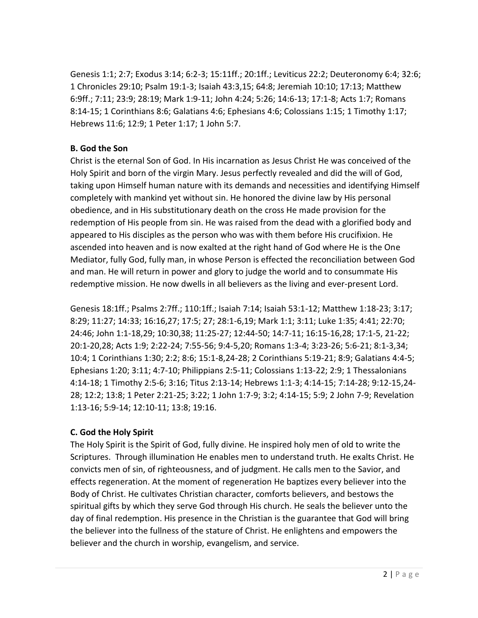Genesis 1:1; 2:7; Exodus 3:14; 6:2-3; 15:11ff.; 20:1ff.; Leviticus 22:2; Deuteronomy 6:4; 32:6; 1 Chronicles 29:10; Psalm 19:1-3; Isaiah 43:3,15; 64:8; Jeremiah 10:10; 17:13; Matthew 6:9ff.; 7:11; 23:9; 28:19; Mark 1:9-11; John 4:24; 5:26; 14:6-13; 17:1-8; Acts 1:7; Romans 8:14-15; 1 Corinthians 8:6; Galatians 4:6; Ephesians 4:6; Colossians 1:15; 1 Timothy 1:17; Hebrews 11:6; 12:9; 1 Peter 1:17; 1 John 5:7.

## **B. God the Son**

Christ is the eternal Son of God. In His incarnation as Jesus Christ He was conceived of the Holy Spirit and born of the virgin Mary. Jesus perfectly revealed and did the will of God, taking upon Himself human nature with its demands and necessities and identifying Himself completely with mankind yet without sin. He honored the divine law by His personal obedience, and in His substitutionary death on the cross He made provision for the redemption of His people from sin. He was raised from the dead with a glorified body and appeared to His disciples as the person who was with them before His crucifixion. He ascended into heaven and is now exalted at the right hand of God where He is the One Mediator, fully God, fully man, in whose Person is effected the reconciliation between God and man. He will return in power and glory to judge the world and to consummate His redemptive mission. He now dwells in all believers as the living and ever-present Lord.

Genesis 18:1ff.; Psalms 2:7ff.; 110:1ff.; Isaiah 7:14; Isaiah 53:1-12; Matthew 1:18-23; 3:17; 8:29; 11:27; 14:33; 16:16,27; 17:5; 27; 28:1-6,19; Mark 1:1; 3:11; Luke 1:35; 4:41; 22:70; 24:46; John 1:1-18,29; 10:30,38; 11:25-27; 12:44-50; 14:7-11; 16:15-16,28; 17:1-5, 21-22; 20:1-20,28; Acts 1:9; 2:22-24; 7:55-56; 9:4-5,20; Romans 1:3-4; 3:23-26; 5:6-21; 8:1-3,34; 10:4; 1 Corinthians 1:30; 2:2; 8:6; 15:1-8,24-28; 2 Corinthians 5:19-21; 8:9; Galatians 4:4-5; Ephesians 1:20; 3:11; 4:7-10; Philippians 2:5-11; Colossians 1:13-22; 2:9; 1 Thessalonians 4:14-18; 1 Timothy 2:5-6; 3:16; Titus 2:13-14; Hebrews 1:1-3; 4:14-15; 7:14-28; 9:12-15,24- 28; 12:2; 13:8; 1 Peter 2:21-25; 3:22; 1 John 1:7-9; 3:2; 4:14-15; 5:9; 2 John 7-9; Revelation 1:13-16; 5:9-14; 12:10-11; 13:8; 19:16.

## **C. God the Holy Spirit**

The Holy Spirit is the Spirit of God, fully divine. He inspired holy men of old to write the Scriptures. Through illumination He enables men to understand truth. He exalts Christ. He convicts men of sin, of righteousness, and of judgment. He calls men to the Savior, and effects regeneration. At the moment of regeneration He baptizes every believer into the Body of Christ. He cultivates Christian character, comforts believers, and bestows the spiritual gifts by which they serve God through His church. He seals the believer unto the day of final redemption. His presence in the Christian is the guarantee that God will bring the believer into the fullness of the stature of Christ. He enlightens and empowers the believer and the church in worship, evangelism, and service.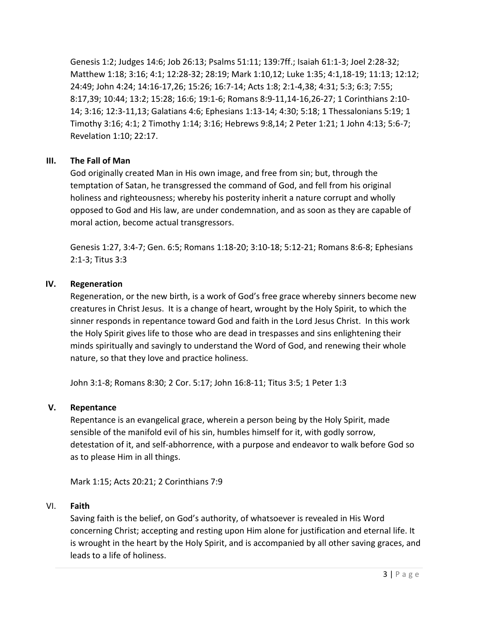Genesis 1:2; Judges 14:6; Job 26:13; Psalms 51:11; 139:7ff.; Isaiah 61:1-3; Joel 2:28-32; Matthew 1:18; 3:16; 4:1; 12:28-32; 28:19; Mark 1:10,12; Luke 1:35; 4:1,18-19; 11:13; 12:12; 24:49; John 4:24; 14:16-17,26; 15:26; 16:7-14; Acts 1:8; 2:1-4,38; 4:31; 5:3; 6:3; 7:55; 8:17,39; 10:44; 13:2; 15:28; 16:6; 19:1-6; Romans 8:9-11,14-16,26-27; 1 Corinthians 2:10- 14; 3:16; 12:3-11,13; Galatians 4:6; Ephesians 1:13-14; 4:30; 5:18; 1 Thessalonians 5:19; 1 Timothy 3:16; 4:1; 2 Timothy 1:14; 3:16; Hebrews 9:8,14; 2 Peter 1:21; 1 John 4:13; 5:6-7; Revelation 1:10; 22:17.

## **III. The Fall of Man**

God originally created Man in His own image, and free from sin; but, through the temptation of Satan, he transgressed the command of God, and fell from his original holiness and righteousness; whereby his posterity inherit a nature corrupt and wholly opposed to God and His law, are under condemnation, and as soon as they are capable of moral action, become actual transgressors.

Genesis 1:27, 3:4-7; Gen. 6:5; Romans 1:18-20; 3:10-18; 5:12-21; Romans 8:6-8; Ephesians 2:1-3; Titus 3:3

## **IV. Regeneration**

Regeneration, or the new birth, is a work of God's free grace whereby sinners become new creatures in Christ Jesus. It is a change of heart, wrought by the Holy Spirit, to which the sinner responds in repentance toward God and faith in the Lord Jesus Christ. In this work the Holy Spirit gives life to those who are dead in trespasses and sins enlightening their minds spiritually and savingly to understand the Word of God, and renewing their whole nature, so that they love and practice holiness.

John 3:1-8; Romans 8:30; 2 Cor. 5:17; John 16:8-11; Titus 3:5; 1 Peter 1:3

## **V. Repentance**

Repentance is an evangelical grace, wherein a person being by the Holy Spirit, made sensible of the manifold evil of his sin, humbles himself for it, with godly sorrow, detestation of it, and self-abhorrence, with a purpose and endeavor to walk before God so as to please Him in all things.

Mark 1:15; Acts 20:21; 2 Corinthians 7:9

## VI. **Faith**

Saving faith is the belief, on God's authority, of whatsoever is revealed in His Word concerning Christ; accepting and resting upon Him alone for justification and eternal life. It is wrought in the heart by the Holy Spirit, and is accompanied by all other saving graces, and leads to a life of holiness.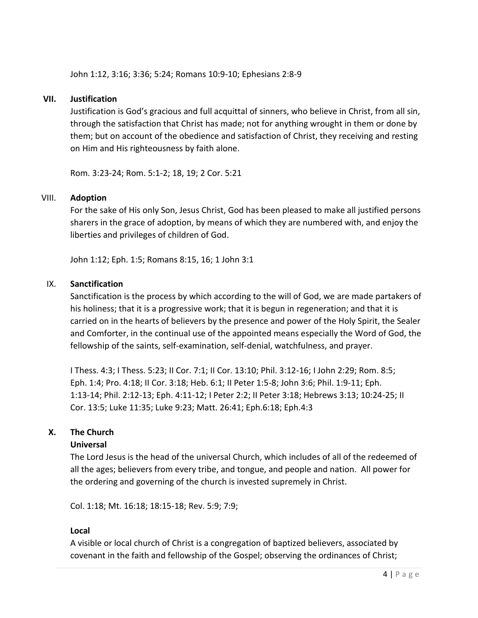John 1:12, 3:16; 3:36; 5:24; Romans 10:9-10; Ephesians 2:8-9

#### **VII. Justification**

Justification is God's gracious and full acquittal of sinners, who believe in Christ, from all sin, through the satisfaction that Christ has made; not for anything wrought in them or done by them; but on account of the obedience and satisfaction of Christ, they receiving and resting on Him and His righteousness by faith alone.

Rom. 3:23-24; Rom. 5:1-2; 18, 19; 2 Cor. 5:21

#### VIII. **Adoption**

For the sake of His only Son, Jesus Christ, God has been pleased to make all justified persons sharers in the grace of adoption, by means of which they are numbered with, and enjoy the liberties and privileges of children of God.

John 1:12; Eph. 1:5; Romans 8:15, 16; 1 John 3:1

#### IX. **Sanctification**

Sanctification is the process by which according to the will of God, we are made partakers of his holiness; that it is a progressive work; that it is begun in regeneration; and that it is carried on in the hearts of believers by the presence and power of the Holy Spirit, the Sealer and Comforter, in the continual use of the appointed means especially the Word of God, the fellowship of the saints, self-examination, self-denial, watchfulness, and prayer.

I Thess. 4:3; I Thess. 5:23; II Cor. 7:1; II Cor. 13:10; Phil. 3:12-16; I John 2:29; Rom. 8:5; Eph. 1:4; Pro. 4:18; II Cor. 3:18; Heb. 6:1; II Peter 1:5-8; John 3:6; Phil. 1:9-11; Eph. 1:13-14; Phil. 2:12-13; Eph. 4:11-12; I Peter 2:2; II Peter 3:18; Hebrews 3:13; 10:24-25; II Cor. 13:5; Luke 11:35; Luke 9:23; Matt. 26:41; Eph.6:18; Eph.4:3

#### **X. The Church**

#### **Universal**

The Lord Jesus is the head of the universal Church, which includes of all of the redeemed of all the ages; believers from every tribe, and tongue, and people and nation. All power for the ordering and governing of the church is invested supremely in Christ.

Col. 1:18; Mt. 16:18; 18:15-18; Rev. 5:9; 7:9;

#### **Local**

A visible or local church of Christ is a congregation of baptized believers, associated by covenant in the faith and fellowship of the Gospel; observing the ordinances of Christ;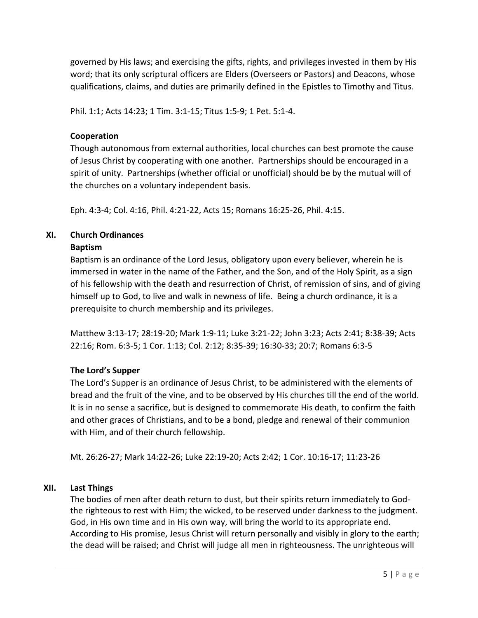governed by His laws; and exercising the gifts, rights, and privileges invested in them by His word; that its only scriptural officers are Elders (Overseers or Pastors) and Deacons, whose qualifications, claims, and duties are primarily defined in the Epistles to Timothy and Titus.

Phil. 1:1; Acts 14:23; 1 Tim. 3:1-15; Titus 1:5-9; 1 Pet. 5:1-4.

#### **Cooperation**

Though autonomous from external authorities, local churches can best promote the cause of Jesus Christ by cooperating with one another. Partnerships should be encouraged in a spirit of unity. Partnerships (whether official or unofficial) should be by the mutual will of the churches on a voluntary independent basis.

Eph. 4:3-4; Col. 4:16, Phil. 4:21-22, Acts 15; Romans 16:25-26, Phil. 4:15.

# **XI. Church Ordinances**

#### **Baptism**

Baptism is an ordinance of the Lord Jesus, obligatory upon every believer, wherein he is immersed in water in the name of the Father, and the Son, and of the Holy Spirit, as a sign of his fellowship with the death and resurrection of Christ, of remission of sins, and of giving himself up to God, to live and walk in newness of life. Being a church ordinance, it is a prerequisite to church membership and its privileges.

Matthew 3:13-17; 28:19-20; Mark 1:9-11; Luke 3:21-22; John 3:23; Acts 2:41; 8:38-39; Acts 22:16; Rom. 6:3-5; 1 Cor. 1:13; Col. 2:12; 8:35-39; 16:30-33; 20:7; Romans 6:3-5

## **The Lord's Supper**

The Lord's Supper is an ordinance of Jesus Christ, to be administered with the elements of bread and the fruit of the vine, and to be observed by His churches till the end of the world. It is in no sense a sacrifice, but is designed to commemorate His death, to confirm the faith and other graces of Christians, and to be a bond, pledge and renewal of their communion with Him, and of their church fellowship.

Mt. 26:26-27; Mark 14:22-26; Luke 22:19-20; Acts 2:42; 1 Cor. 10:16-17; 11:23-26

## **XII. Last Things**

The bodies of men after death return to dust, but their spirits return immediately to Godthe righteous to rest with Him; the wicked, to be reserved under darkness to the judgment. God, in His own time and in His own way, will bring the world to its appropriate end. According to His promise, Jesus Christ will return personally and visibly in glory to the earth; the dead will be raised; and Christ will judge all men in righteousness. The unrighteous will